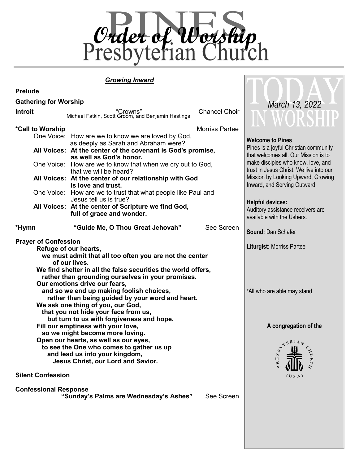

#### *Growing Inward*

| <b>Prelude</b>                                                                                                                                                                                                                                                                          |                                                                                                                                                                                                                                            |                                                                    |                                                                 |  |
|-----------------------------------------------------------------------------------------------------------------------------------------------------------------------------------------------------------------------------------------------------------------------------------------|--------------------------------------------------------------------------------------------------------------------------------------------------------------------------------------------------------------------------------------------|--------------------------------------------------------------------|-----------------------------------------------------------------|--|
| <b>Gathering for Worship</b>                                                                                                                                                                                                                                                            | March 13, 2022                                                                                                                                                                                                                             |                                                                    |                                                                 |  |
| Introit                                                                                                                                                                                                                                                                                 | "Crowns"<br>Michael Fatkin, Scott Groom, and Benjamin Hastings                                                                                                                                                                             | <b>Chancel Choir</b>                                               | IN WUKSHIL                                                      |  |
| *Call to Worship                                                                                                                                                                                                                                                                        | One Voice: How are we to know we are loved by God,                                                                                                                                                                                         | <b>Morriss Partee</b>                                              |                                                                 |  |
|                                                                                                                                                                                                                                                                                         | <b>Welcome to Pines</b><br>as deeply as Sarah and Abraham were?<br>Pines is a joyful Christian community<br>All Voices: At the center of the covenant is God's promise,<br>that welcomes all. Our Mission is to<br>as well as God's honor. |                                                                    |                                                                 |  |
|                                                                                                                                                                                                                                                                                         | make disciples who know, love, and<br>One Voice: How are we to know that when we cry out to God,<br>trust in Jesus Christ. We live into our<br>that we will be heard?                                                                      |                                                                    |                                                                 |  |
|                                                                                                                                                                                                                                                                                         | All Voices: At the center of our relationship with God<br>is love and trust.                                                                                                                                                               | Mission by Looking Upward, Growing<br>Inward, and Serving Outward. |                                                                 |  |
|                                                                                                                                                                                                                                                                                         | One Voice: How are we to trust that what people like Paul and<br>Jesus tell us is true?<br><b>Helpful devices:</b>                                                                                                                         |                                                                    |                                                                 |  |
|                                                                                                                                                                                                                                                                                         | All Voices: At the center of Scripture we find God,<br>full of grace and wonder.                                                                                                                                                           |                                                                    | Auditory assistance receivers are<br>available with the Ushers. |  |
| *Hymn                                                                                                                                                                                                                                                                                   | "Guide Me, O Thou Great Jehovah"                                                                                                                                                                                                           | See Screen                                                         | <b>Sound: Dan Schafer</b>                                       |  |
| <b>Prayer of Confession</b><br>Refuge of our hearts,<br>we must admit that all too often you are not the center<br>of our lives.<br>We find shelter in all the false securities the world offers,<br>rather than grounding ourselves in your promises.<br>Our emotions drive our fears, | <b>Liturgist: Morriss Partee</b>                                                                                                                                                                                                           |                                                                    |                                                                 |  |
| and so we end up making foolish choices,<br>rather than being guided by your word and heart.<br>We ask one thing of you, our God,<br>that you not hide your face from us,<br>but turn to us with forgiveness and hope.                                                                  | *All who are able may stand                                                                                                                                                                                                                |                                                                    |                                                                 |  |
| Fill our emptiness with your love,                                                                                                                                                                                                                                                      | A congregation of the                                                                                                                                                                                                                      |                                                                    |                                                                 |  |
| so we might become more loving.<br>Open our hearts, as well as our eyes,<br>to see the One who comes to gather us up<br>and lead us into your kingdom,<br>Jesus Christ, our Lord and Savior.                                                                                            | YERIAN<br>$\infty$<br>$R$ E $S$                                                                                                                                                                                                            |                                                                    |                                                                 |  |
| <b>Silent Confession</b>                                                                                                                                                                                                                                                                |                                                                                                                                                                                                                                            |                                                                    | (US A)                                                          |  |
| <b>Confessional Response</b>                                                                                                                                                                                                                                                            |                                                                                                                                                                                                                                            |                                                                    |                                                                 |  |

 **"Sunday's Palms are Wednesday's Ashes"** See Screen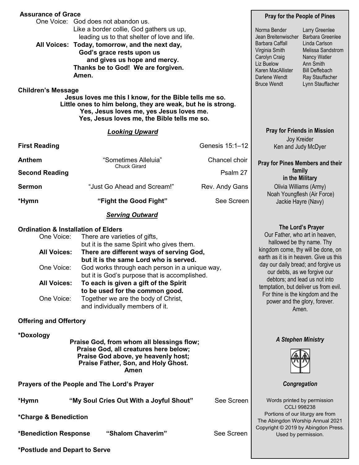| <b>Assurance of Grace</b>                                                                                                                          |                                                                                                                                                                                                                                                                                                                                                                                                                           |                                                                                                                                                                                                                                                                                                                                                                            | <b>Pray for the People of Pines</b>                                                                                                                                   |  |  |  |
|----------------------------------------------------------------------------------------------------------------------------------------------------|---------------------------------------------------------------------------------------------------------------------------------------------------------------------------------------------------------------------------------------------------------------------------------------------------------------------------------------------------------------------------------------------------------------------------|----------------------------------------------------------------------------------------------------------------------------------------------------------------------------------------------------------------------------------------------------------------------------------------------------------------------------------------------------------------------------|-----------------------------------------------------------------------------------------------------------------------------------------------------------------------|--|--|--|
|                                                                                                                                                    | One Voice: God does not abandon us.<br>Like a border collie, God gathers us up,<br>leading us to that shelter of love and life.<br>All Voices: Today, tomorrow, and the next day,<br>God's grace rests upon us<br>and gives us hope and mercy.<br>Thanks be to God! We are forgiven.<br>Amen.                                                                                                                             | Norma Bender<br>Jean Breitenwischer<br><b>Barbara Caffall</b><br>Virginia Smith<br>Carolyn Craig<br>Liz Buelow<br>Karen MacAllister<br>Darlene Wendt<br><b>Bruce Wendt</b>                                                                                                                                                                                                 | Larry Greenlee<br>Barbara Greenlee<br>Linda Carlson<br>Melissa Sandstrom<br>Nancy Watler<br>Ann Smith<br><b>Bill Deffebach</b><br>Ray Stauffacher<br>Lynn Stauffacher |  |  |  |
| <b>Children's Message</b><br>Jesus loves me this I know, for the Bible tells me so.<br>Little ones to him belong, they are weak, but he is strong. |                                                                                                                                                                                                                                                                                                                                                                                                                           |                                                                                                                                                                                                                                                                                                                                                                            |                                                                                                                                                                       |  |  |  |
|                                                                                                                                                    | <b>Looking Upward</b>                                                                                                                                                                                                                                                                                                                                                                                                     |                                                                                                                                                                                                                                                                                                                                                                            | <b>Pray for Friends in Mission</b>                                                                                                                                    |  |  |  |
| <b>First Reading</b>                                                                                                                               |                                                                                                                                                                                                                                                                                                                                                                                                                           | Genesis 15:1-12                                                                                                                                                                                                                                                                                                                                                            | Joy Kreider<br>Ken and Judy McDyer                                                                                                                                    |  |  |  |
| <b>Anthem</b>                                                                                                                                      | "Sometimes Alleluia"                                                                                                                                                                                                                                                                                                                                                                                                      | Chancel choir                                                                                                                                                                                                                                                                                                                                                              | Pray for Pines Members and their                                                                                                                                      |  |  |  |
| <b>Second Reading</b>                                                                                                                              | <b>Chuck Girard</b>                                                                                                                                                                                                                                                                                                                                                                                                       | Psalm 27                                                                                                                                                                                                                                                                                                                                                                   | family<br>in the Military                                                                                                                                             |  |  |  |
| <b>Sermon</b>                                                                                                                                      | "Just Go Ahead and Scream!"                                                                                                                                                                                                                                                                                                                                                                                               | Rev. Andy Gans                                                                                                                                                                                                                                                                                                                                                             | Olivia Williams (Army)<br>Noah Youngflesh (Air Force)                                                                                                                 |  |  |  |
| *Hymn                                                                                                                                              | "Fight the Good Fight"                                                                                                                                                                                                                                                                                                                                                                                                    | See Screen                                                                                                                                                                                                                                                                                                                                                                 | Jackie Hayre (Navy)                                                                                                                                                   |  |  |  |
|                                                                                                                                                    | <b>Serving Outward</b>                                                                                                                                                                                                                                                                                                                                                                                                    |                                                                                                                                                                                                                                                                                                                                                                            |                                                                                                                                                                       |  |  |  |
| <b>Ordination &amp; Installation of Elders</b><br>One Voice:<br><b>All Voices:</b><br>One Voice:<br><b>All Voices:</b><br>One Voice:               | There are varieties of gifts,<br>but it is the same Spirit who gives them.<br>There are different ways of serving God,<br>but it is the same Lord who is served.<br>God works through each person in a unique way,<br>but it is God's purpose that is accomplished.<br>To each is given a gift of the Spirit<br>to be used for the common good.<br>Together we are the body of Christ,<br>and individually members of it. | Our Father, who art in heaven,<br>hallowed be thy name. Thy<br>kingdom come, thy will be done, on<br>earth as it is in heaven. Give us this<br>day our daily bread; and forgive us<br>our debts, as we forgive our<br>debtors; and lead us not into<br>temptation, but deliver us from evil.<br>For thine is the kingdom and the<br>power and the glory, forever.<br>Amen. | The Lord's Prayer                                                                                                                                                     |  |  |  |
| <b>Offering and Offertory</b>                                                                                                                      |                                                                                                                                                                                                                                                                                                                                                                                                                           |                                                                                                                                                                                                                                                                                                                                                                            |                                                                                                                                                                       |  |  |  |
| *Doxology<br>Praise God, from whom all blessings flow;                                                                                             | <b>A Stephen Ministry</b>                                                                                                                                                                                                                                                                                                                                                                                                 |                                                                                                                                                                                                                                                                                                                                                                            |                                                                                                                                                                       |  |  |  |
| Prayers of the People and The Lord's Prayer                                                                                                        |                                                                                                                                                                                                                                                                                                                                                                                                                           |                                                                                                                                                                                                                                                                                                                                                                            | Congregation                                                                                                                                                          |  |  |  |
| See Screen<br>"My Soul Cries Out With a Joyful Shout"<br>*Hymn<br>*Charge & Benediction                                                            |                                                                                                                                                                                                                                                                                                                                                                                                                           |                                                                                                                                                                                                                                                                                                                                                                            | Words printed by permission<br><b>CCLI 998238</b><br>Portions of our liturgy are from<br>The Abingdon Worship Annual 2021<br>Copyright © 2019 by Abingdon Press.      |  |  |  |
| *Benediction Response                                                                                                                              | "Shalom Chaverim"                                                                                                                                                                                                                                                                                                                                                                                                         | See Screen                                                                                                                                                                                                                                                                                                                                                                 | Used by permission.                                                                                                                                                   |  |  |  |
| *Postlude and Depart to Serve                                                                                                                      |                                                                                                                                                                                                                                                                                                                                                                                                                           |                                                                                                                                                                                                                                                                                                                                                                            |                                                                                                                                                                       |  |  |  |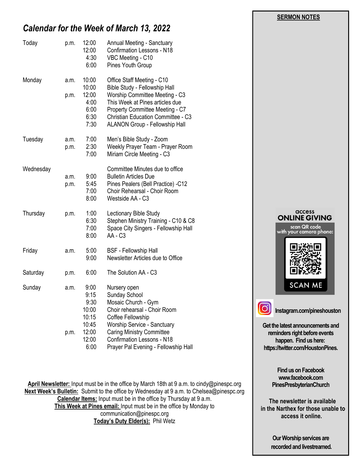**SERMON NOTES** 

# *Calendar for the Week of March 13, 2022*

| Today     | p.m.         | 12:00<br>12:00<br>4:30<br>6:00                           | Annual Meeting - Sanctuary<br><b>Confirmation Lessons - N18</b><br>VBC Meeting - C10<br>Pines Youth Group                                                                                                                                                 |
|-----------|--------------|----------------------------------------------------------|-----------------------------------------------------------------------------------------------------------------------------------------------------------------------------------------------------------------------------------------------------------|
| Monday    | a.m.<br>p.m. | 10:00<br>10:00<br>12:00<br>4:00<br>6:00<br>6:30<br>7:30  | Office Staff Meeting - C10<br>Bible Study - Fellowship Hall<br>Worship Committee Meeting - C3<br>This Week at Pines articles due<br>Property Committee Meeting - C7<br><b>Christian Education Committee - C3</b><br><b>ALANON Group - Fellowship Hall</b> |
| Tuesday   | a.m.<br>p.m. | 7:00<br>2:30<br>7:00                                     | Men's Bible Study - Zoom<br>Weekly Prayer Team - Prayer Room<br>Miriam Circle Meeting - C3                                                                                                                                                                |
| Wednesday | a.m.<br>p.m. | 9:00<br>5:45<br>7:00<br>8:00                             | Committee Minutes due to office<br><b>Bulletin Articles Due</b><br>Pines Pealers (Bell Practice) -C12<br>Choir Rehearsal - Choir Room<br>Westside AA - C3                                                                                                 |
| Thursday  | p.m.         | 1:00<br>6:30<br>7:00<br>8:00                             | Lectionary Bible Study<br>Stephen Ministry Training - C10 & C8<br>Space City Singers - Fellowship Hall<br>AA - C3                                                                                                                                         |
| Friday    | a.m.         | 5:00<br>9:00                                             | <b>BSF</b> - Fellowship Hall<br>Newsletter Articles due to Office                                                                                                                                                                                         |
| Saturday  | p.m.         | 6:00                                                     | The Solution AA - C3                                                                                                                                                                                                                                      |
| Sunday    | a.m.<br>p.m. | 9:00<br>9:15<br>9:30<br>10:00<br>10:15<br>10:45<br>12:00 | Nursery open<br>Sunday School<br>Mosaic Church - Gym<br>Choir rehearsal - Choir Room<br>Coffee Fellowship<br><b>Worship Service - Sanctuary</b><br><b>Caring Ministry Committee</b>                                                                       |
|           |              | 12:00<br>6:00                                            | <b>Confirmation Lessons - N18</b><br>Prayer Pal Evening - Fellowship Hall                                                                                                                                                                                 |

**April Newsletter:** Input must be in the office by March 18th at 9 a.m. to cindy@pinespc.org **Next Week's Bulletin:** Submit to the office by Wednesday at 9 a.m. to Chelsea@pinespc.org **Calendar Items:** Input must be in the office by Thursday at 9 a.m. **This Week at Pines email:** Input must be in the office by Monday to communication@pinespc.org **Today's Duty Elder(s):** Phil Wetz

# access **ONLINE GIVING** scan QR code<br>with your camera phone: **SCAN ME Instagram.com/pineshouston**

**Get the latest announcements and reminders right before events happen. Find us here:**

ြ

**https://twitter.com/HoustonPines.** 

**Find us on Facebook www.facebook.com PinesPresbyterianChurch**

 **The newsletter is available in the Narthex for those unable to access it online.**

> **Our Worship services are recorded and livestreamed.**